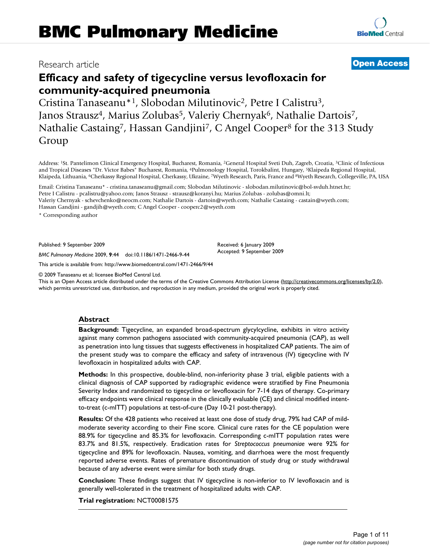# **Efficacy and safety of tigecycline versus levofloxacin for community-acquired pneumonia**

Cristina Tanaseanu\*1, Slobodan Milutinovic2, Petre I Calistru3, Janos Strausz<sup>4</sup>, Marius Zolubas<sup>5</sup>, Valeriy Chernyak<sup>6</sup>, Nathalie Dartois<sup>7</sup>, Nathalie Castaing<sup>7</sup>, Hassan Gandjini<sup>7</sup>, C Angel Cooper<sup>8</sup> for the 313 Study Group

Address: 1St. Pantelimon Clinical Emergency Hospital, Bucharest, Romania, 2General Hospital Sveti Duh, Zagreb, Croatia, 3Clinic of Infectious and Tropical Diseases "Dr. Victor Babes" Bucharest, Romania, 4Pulmonology Hospital, Torokbalint, Hungary, 5Klaipeda Regional Hospital, Klaipeda, Lithuania, 6Cherkassy Regional Hospital, Cherkassy, Ukraine, 7Wyeth Research, Paris, France and 8Wyeth Research, Collegeville, PA, USA

Email: Cristina Tanaseanu\* - cristina.tanaseanu@gmail.com; Slobodan Milutinovic - slobodan.milutinovic@bol-svduh.htnet.hr; Petre I Calistru - pcalistru@yahoo.com; Janos Strausz - strausz@koranyi.hu; Marius Zolubas - zolubas@omni.lt; Valeriy Chernyak - schevchenko@neocm.com; Nathalie Dartois - dartoin@wyeth.com; Nathalie Castaing - castain@wyeth.com; Hassan Gandjini - gandjih@wyeth.com; C Angel Cooper - cooperc2@wyeth.com

\* Corresponding author

Published: 9 September 2009

*BMC Pulmonary Medicine* 2009, **9**:44 doi:10.1186/1471-2466-9-44

[This article is available from: http://www.biomedcentral.com/1471-2466/9/44](http://www.biomedcentral.com/1471-2466/9/44)

© 2009 Tanaseanu et al; licensee BioMed Central Ltd.

This is an Open Access article distributed under the terms of the Creative Commons Attribution License [\(http://creativecommons.org/licenses/by/2.0\)](http://creativecommons.org/licenses/by/2.0), which permits unrestricted use, distribution, and reproduction in any medium, provided the original work is properly cited.

Received: 6 January 2009 Accepted: 9 September 2009

#### **Abstract**

**Background:** Tigecycline, an expanded broad-spectrum glycylcycline, exhibits in vitro activity against many common pathogens associated with community-acquired pneumonia (CAP), as well as penetration into lung tissues that suggests effectiveness in hospitalized CAP patients. The aim of the present study was to compare the efficacy and safety of intravenous (IV) tigecycline with IV levofloxacin in hospitalized adults with CAP.

**Methods:** In this prospective, double-blind, non-inferiority phase 3 trial, eligible patients with a clinical diagnosis of CAP supported by radiographic evidence were stratified by Fine Pneumonia Severity Index and randomized to tigecycline or levofloxacin for 7-14 days of therapy. Co-primary efficacy endpoints were clinical response in the clinically evaluable (CE) and clinical modified intentto-treat (c-mITT) populations at test-of-cure (Day 10-21 post-therapy).

**Results:** Of the 428 patients who received at least one dose of study drug, 79% had CAP of mildmoderate severity according to their Fine score. Clinical cure rates for the CE population were 88.9% for tigecycline and 85.3% for levofloxacin. Corresponding c-mITT population rates were 83.7% and 81.5%, respectively. Eradication rates for *Streptococcus pneumoniae* were 92% for tigecycline and 89% for levofloxacin. Nausea, vomiting, and diarrhoea were the most frequently reported adverse events. Rates of premature discontinuation of study drug or study withdrawal because of any adverse event were similar for both study drugs.

**Conclusion:** These findings suggest that IV tigecycline is non-inferior to IV levofloxacin and is generally well-tolerated in the treatment of hospitalized adults with CAP.

**Trial registration:** NCT00081575

# Research article **[Open Access](http://www.biomedcentral.com/info/about/charter/)**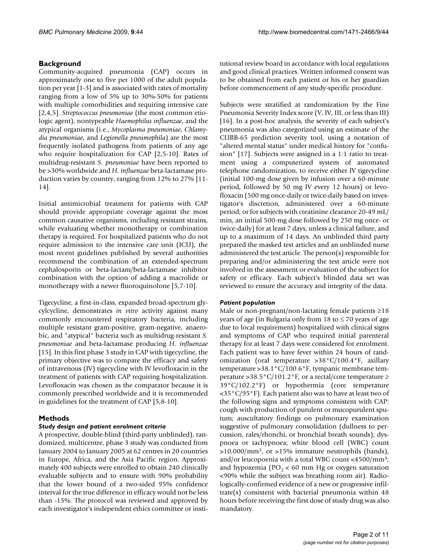# **Background**

Community-acquired pneumonia (CAP) occurs in approximately one to five per 1000 of the adult population per year [1-3] and is associated with rates of mortality ranging from a low of 5% up to 30%-50% for patients with multiple comorbidities and requiring intensive care [2,4,5]. *Streptococcus pneumoniae* (the most common etiologic agent), nontypeable *Haemophilus influenzae*, and the atypical organisms (i.e., *Mycoplasma pneumoniae*, *Chlamydia pneumoniae*, and *Legionella pneumophila*) are the most frequently isolated pathogens from patients of any age who require hospitalization for CAP [2,5-10]. Rates of multidrug-resistant *S. pneumoniae* have been reported to be >30% worldwide and *H. influenzae* beta-lactamase production varies by country, ranging from 12% to 27% [11- 14].

Initial antimicrobial treatment for patients with CAP should provide appropriate coverage against the most common causative organisms, including resistant strains, while evaluating whether monotherapy or combination therapy is required. For hospitalized patients who do not require admission to the intensive care unit (ICU), the most recent guidelines published by several authorities recommend the combination of an extended-spectrum cephalosporin or beta-lactam/beta-lactamase inhibitor combination with the option of adding a macrolide or monotherapy with a newer fluoroquinolone [5,7-10].

Tigecycline, a first-in-class, expanded broad-spectrum glycylcycline, demonstrates *in vitro* activity against many commonly encountered respiratory bacteria, including multiple resistant gram-positive, gram-negative, anaerobic, and "atypical" bacteria such as multidrug-resistant *S. pneumoniae* and beta-lactamase producing *H. influenzae* [15]. In this first phase 3 study in CAP with tigecycline, the primary objective was to compare the efficacy and safety of intravenous (IV) tigecycline with IV levofloxacin in the treatment of patients with CAP requiring hospitalization. Levofloxacin was chosen as the comparator because it is commonly prescribed worldwide and it is recommended in guidelines for the treatment of CAP [5,8-10].

# **Methods**

# *Study design and patient enrolment criteria*

A prospective, double-blind (third-party unblinded), randomized, multicentre, phase 3 study was conducted from January 2004 to January 2005 at 62 centres in 20 countries in Europe, Africa, and the Asia Pacific region. Approximately 400 subjects were enrolled to obtain 240 clinically evaluable subjects and to ensure with 90% probability that the lower bound of a two-sided 95% confidence interval for the true difference in efficacy would not be less than -15%. The protocol was reviewed and approved by each investigator's independent ethics committee or institutional review board in accordance with local regulations and good clinical practices. Written informed consent was to be obtained from each patient or his or her guardian before commencement of any study-specific procedure.

Subjects were stratified at randomization by the Fine Pneumonia Severity Index score (V, IV, III, or less than III) [16]. In a post-hoc analysis, the severity of each subject's pneumonia was also categorized using an estimate of the CURB-65 prediction severity tool, using a notation of "altered mental status" under medical history for "confusion" [17]. Subjects were assigned in a 1:1 ratio to treatment using a computerized system of automated telephone randomization, to receive either IV tigecycline (initial 100-mg dose given by infusion over a 60-minute period, followed by 50 mg IV every 12 hours) or levofloxacin (500 mg once-daily or twice-daily based on investigator's discretion, administered over a 60-minute period; or for subjects with creatinine clearance 20-49 mL/ min, an initial 500-mg dose followed by 250 mg once- or twice-daily) for at least 7 days, unless a clinical failure, and up to a maximum of 14 days. An unblinded third party prepared the masked test articles and an unblinded nurse administered the test article. The person(s) responsible for preparing and/or administering the test article were not involved in the assessment or evaluation of the subject for safety or efficacy. Each subject's blinded data set was reviewed to ensure the accuracy and integrity of the data.

# *Patient population*

Male or non-pregnant/non-lactating female patients  $\geq 18$ years of age (in Bulgaria only from 18 to  $\leq$  70 years of age due to local requirement) hospitalized with clinical signs and symptoms of CAP who required initial parenteral therapy for at least 7 days were considered for enrolment. Each patient was to have fever within 24 hours of randomization (oral temperature >38°C/100.4°F, axillary temperature >38.1°C/100.6°F, tympanic membrane temperature >38.5 $\degree$ C/101.2 $\degree$ F, or a rectal/core temperature  $\ge$ 39°C/102.2°F) or hypothermia (core temperature  $<35^{\circ}C/95^{\circ}F$ ). Each patient also was to have at least two of the following signs and symptoms consistent with CAP: cough with production of purulent or mucopurulent sputum; auscultatory findings on pulmonary examination suggestive of pulmonary consolidation (dullness to percussion, rales/rhonchi, or bronchial breath sounds); dyspnoea or tachypnoea; white blood cell (WBC) count  $>10,000/\text{mm}^3$ , or  $>15\%$  immature neutrophils (bands), and/or leucopoenia with a total WBC count <4500/mm3; and hypoxemia ( $PO<sub>2</sub> < 60$  mm Hg or oxygen saturation <90% while the subject was breathing room air). Radiologically-confirmed evidence of a new or progressive infiltrate(s) consistent with bacterial pneumonia within 48 hours before receiving the first dose of study drug was also mandatory.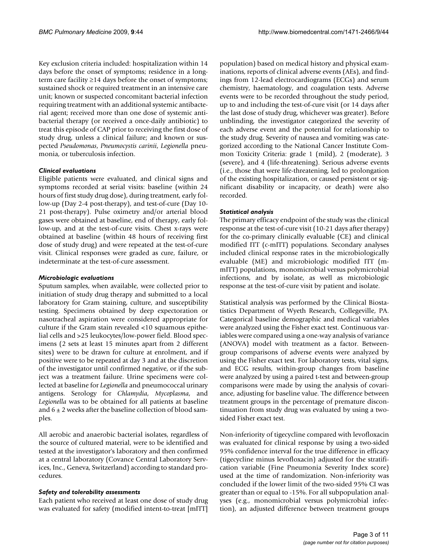Key exclusion criteria included: hospitalization within 14 days before the onset of symptoms; residence in a longterm care facility ≥14 days before the onset of symptoms; sustained shock or required treatment in an intensive care unit; known or suspected concomitant bacterial infection requiring treatment with an additional systemic antibacterial agent; received more than one dose of systemic antibacterial therapy (or received a once-daily antibiotic) to treat this episode of CAP prior to receiving the first dose of study drug, unless a clinical failure; and known or suspected *Pseudomonas*, *Pneumocystis carinii*, *Legionella* pneumonia, or tuberculosis infection.

# *Clinical evaluations*

Eligible patients were evaluated, and clinical signs and symptoms recorded at serial visits: baseline (within 24 hours of first study drug dose), during treatment, early follow-up (Day 2-4 post-therapy), and test-of-cure (Day 10- 21 post-therapy). Pulse oximetry and/or arterial blood gases were obtained at baseline, end of therapy, early follow-up, and at the test-of-cure visits. Chest x-rays were obtained at baseline (within 48 hours of receiving first dose of study drug) and were repeated at the test-of-cure visit. Clinical responses were graded as cure, failure, or indeterminate at the test-of-cure assessment.

# *Microbiologic evaluations*

Sputum samples, when available, were collected prior to initiation of study drug therapy and submitted to a local laboratory for Gram staining, culture, and susceptibility testing. Specimens obtained by deep expectoration or nasotracheal aspiration were considered appropriate for culture if the Gram stain revealed <10 squamous epithelial cells and >25 leukocytes/low-power field. Blood specimens (2 sets at least 15 minutes apart from 2 different sites) were to be drawn for culture at enrolment, and if positive were to be repeated at day 3 and at the discretion of the investigator until confirmed negative, or if the subject was a treatment failure. Urine specimens were collected at baseline for *Legionella* and pneumococcal urinary antigens. Serology for *Chlamydia*, *Mycoplasma*, and *Legionella* was to be obtained for all patients at baseline and  $6 \pm 2$  weeks after the baseline collection of blood samples.

All aerobic and anaerobic bacterial isolates, regardless of the source of cultured material, were to be identified and tested at the investigator's laboratory and then confirmed at a central laboratory (Covance Central Laboratory Services, Inc., Geneva, Switzerland) according to standard procedures.

# *Safety and tolerability assessments*

Each patient who received at least one dose of study drug was evaluated for safety (modified intent-to-treat [mITT]

population) based on medical history and physical examinations, reports of clinical adverse events (AEs), and findings from 12-lead electrocardiograms (ECGs) and serum chemistry, haematology, and coagulation tests. Adverse events were to be recorded throughout the study period, up to and including the test-of-cure visit (or 14 days after the last dose of study drug, whichever was greater). Before unblinding, the investigator categorized the severity of each adverse event and the potential for relationship to the study drug. Severity of nausea and vomiting was categorized according to the National Cancer Institute Common Toxicity Criteria: grade 1 (mild), 2 (moderate), 3 (severe), and 4 (life-threatening). Serious adverse events (i.e., those that were life-threatening, led to prolongation of the existing hospitalization, or caused persistent or significant disability or incapacity, or death) were also recorded.

# *Statistical analysis*

The primary efficacy endpoint of the study was the clinical response at the test-of-cure visit (10-21 days after therapy) for the co-primary clinically evaluable (CE) and clinical modified ITT (c-mITT) populations. Secondary analyses included clinical response rates in the microbiologically evaluable (ME) and microbiologic modified ITT (mmITT) populations, monomicrobial versus polymicrobial infections, and by isolate, as well as microbiologic response at the test-of-cure visit by patient and isolate.

Statistical analysis was performed by the Clinical Biostatistics Department of Wyeth Research, Collegeville, PA. Categorical baseline demographic and medical variables were analyzed using the Fisher exact test. Continuous variables were compared using a one-way analysis of variance (ANOVA) model with treatment as a factor. Betweengroup comparisons of adverse events were analyzed by using the Fisher exact test. For laboratory tests, vital signs, and ECG results, within-group changes from baseline were analyzed by using a paired t-test and between-group comparisons were made by using the analysis of covariance, adjusting for baseline value. The difference between treatment groups in the percentage of premature discontinuation from study drug was evaluated by using a twosided Fisher exact test.

Non-inferiority of tigecycline compared with levofloxacin was evaluated for clinical response by using a two-sided 95% confidence interval for the true difference in efficacy (tigecycline minus levofloxacin) adjusted for the stratification variable (Fine Pneumonia Severity Index score) used at the time of randomization. Non-inferiority was concluded if the lower limit of the two-sided 95% CI was greater than or equal to -15%. For all subpopulation analyses (e.g., monomicrobial versus polymicrobial infection), an adjusted difference between treatment groups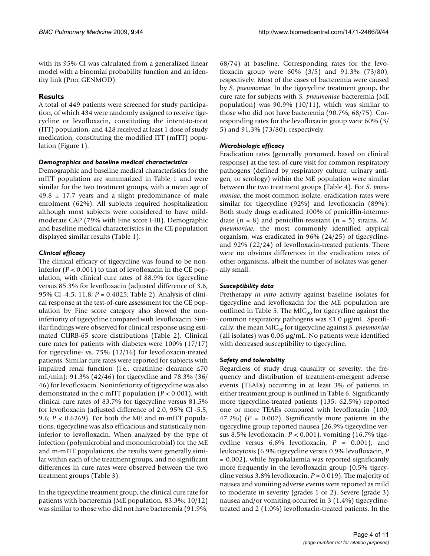with its 95% CI was calculated from a generalized linear model with a binomial probability function and an identity link (Proc GENMOD).

# **Results**

A total of 449 patients were screened for study participation, of which 434 were randomly assigned to receive tigecycline or levofloxacin, constituting the intent-to-treat (ITT) population, and 428 received at least 1 dose of study medication, constituting the modified ITT (mITT) population (Figure 1).

# *Demographics and baseline medical characteristics*

Demographic and baseline medical characteristics for the mITT population are summarized in Table 1 and were similar for the two treatment groups, with a mean age of  $49.8 \pm 17.7$  years and a slight predominance of male enrolment (62%). All subjects required hospitalization although most subjects were considered to have mildmoderate CAP (79% with Fine score I-III). Demographic and baseline medical characteristics in the CE population displayed similar results (Table 1).

# *Clinical efficacy*

The clinical efficacy of tigecycline was found to be noninferior  $(P < 0.001)$  to that of levofloxacin in the CE population, with clinical cure rates of 88.9% for tigecycline versus 85.3% for levofloxacin (adjusted difference of 3.6, 95% CI -4.5, 11.8; *P* = 0.4025; Table 2). Analysis of clinical response at the test-of-cure assessment for the CE population by Fine score category also showed the noninferiority of tigecycline compared with levofloxacin. Similar findings were observed for clinical response using estimated CURB-65 score distributions (Table 2). Clinical cure rates for patients with diabetes were 100% (17/17) for tigecycline- vs. 75% (12/16) for levofloxacin-treated patients. Similar cure rates were reported for subjects with impaired renal function (i.e., creatinine clearance ≤70 mL/min): 91.3% (42/46) for tigecycline and 78.3% (36/ 46) for levofloxacin. Noninferiority of tigecycline was also demonstrated in the c-mITT population (*P* < 0.001), with clinical cure rates of 83.7% for tigecycline versus 81.5% for levofloxacin (adjusted difference of 2.0, 95% CI -5.5, 9.6;  $P < 0.6269$ ). For both the ME and m-mITT populations, tigecycline was also efficacious and statistically noninferior to levofloxacin. When analyzed by the type of infection (polymicrobial and monomicrobial) for the ME and m-mITT populations, the results were generally similar within each of the treatment groups, and no significant differences in cure rates were observed between the two treatment groups (Table 3).

In the tigecycline treatment group, the clinical cure rate for patients with bacteremia (ME population, 83.3%; 10/12) was similar to those who did not have bacteremia (91.9%;

68/74) at baseline. Corresponding rates for the levofloxacin group were 60% (3/5) and 91.3% (73/80), respectively. Most of the cases of bacteremia were caused by *S. pneumoniae*. In the tigecycline treatment group, the cure rate for subjects with *S. pneumoniae* bacteremia (ME population) was 90.9% (10/11), which was similar to those who did not have bacteremia (90.7%; 68/75). Corresponding rates for the levofloxacin group were 60% (3/ 5) and 91.3% (73/80), respectively.

#### *Microbiologic efficacy*

Eradication rates (generally presumed, based on clinical response) at the test-of-cure visit for common respiratory pathogens (defined by respiratory culture, urinary antigen, or serology) within the ME population were similar between the two treatment groups (Table 4). For *S. pneumoniae*, the most common isolate, eradication rates were similar for tigecycline (92%) and levofloxacin (89%). Both study drugs eradicated 100% of penicillin-intermediate (n = 8) and penicillin-resistant (n = 5) strains. *M. pneumoniae*, the most commonly identified atypical organism, was eradicated in 96% (24/25) of tigecyclineand 92% (22/24) of levofloxacin-treated patients. There were no obvious differences in the eradication rates of other organisms, albeit the number of isolates was generally small.

# *Susceptibility data*

Pretherapy *in vitro* activity against baseline isolates for tigecycline and levofloxacin for the ME population are outlined in Table 5. The  $MIC<sub>90</sub>$  for tigecycline against the common respiratory pathogens was ≤1.0 μg/mL. Specifically, the mean MIC<sub>90</sub> for tigecycline against *S. pneumoniae* (all isolates) was 0.06 μg/mL. No patients were identified with decreased susceptibility to tigecycline.

# *Safety and tolerability*

Regardless of study drug causality or severity, the frequency and distribution of treatment-emergent adverse events (TEAEs) occurring in at least 3% of patients in either treatment group is outlined in Table 6. Significantly more tigecycline-treated patients (135; 62.5%) reported one or more TEAEs compared with levofloxacin (100; 47.2%) (*P* = 0.002). Significantly more patients in the tigecycline group reported nausea (26.9% tigecycline versus 8.5% levofloxacin, *P* < 0.001), vomiting (16.7% tigecycline versus 6.6% levofloxacin, *P* = 0.001), and leukocytosis (6.9% tigecycline versus 0.9% levofloxacin, *P* = 0.002), while hypokalaemia was reported significantly more frequently in the levofloxacin group (0.5% tigecycline versus 3.8% levofloxacin, *P* = 0.019). The majority of nausea and vomiting adverse events were reported as mild to moderate in severity (grades 1 or 2). Severe (grade 3) nausea and/or vomiting occurred in 3 (1.4%) tigecyclinetreated and 2 (1.0%) levofloxacin-treated patients. In the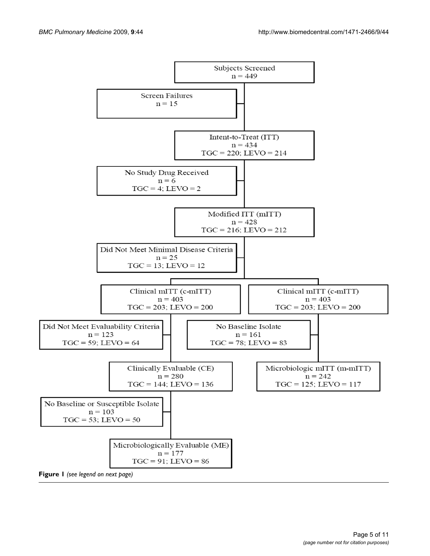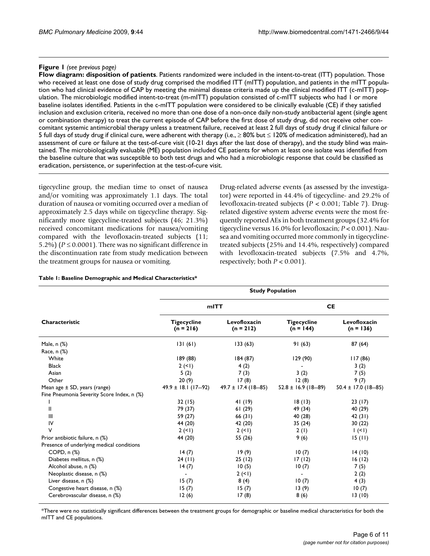#### **Figure 1** (see previous page)

**Flow diagram: disposition of patients**. Patients randomized were included in the intent-to-treat (ITT) population. Those who received at least one dose of study drug comprised the modified ITT (mITT) population, and patients in the mITT population who had clinical evidence of CAP by meeting the minimal disease criteria made up the clinical modified ITT (c-mITT) population. The microbiologic modified intent-to-treat (m-mITT) population consisted of c-mITT subjects who had 1 or more baseline isolates identified. Patients in the c-mITT population were considered to be clinically evaluable (CE) if they satisfied inclusion and exclusion criteria, received no more than one dose of a non-once daily non-study antibacterial agent (single agent or combination therapy) to treat the current episode of CAP before the first dose of study drug, did not receive other concomitant systemic antimicrobial therapy unless a treatment failure, received at least 2 full days of study drug if clinical failure or 5 full days of study drug if clinical cure, were adherent with therapy (i.e., ≥ 80% but ≤ 120% of medication administered), had an assessment of cure or failure at the test-of-cure visit (10-21 days after the last dose of therapy), and the study blind was maintained. The microbiologically evaluable (ME) population included CE patients for whom at least one isolate was identified from the baseline culture that was susceptible to both test drugs and who had a microbiologic response that could be classified as eradication, persistence, or superinfection at the test-of-cure visit.

tigecycline group, the median time to onset of nausea and/or vomiting was approximately 1.1 days. The total duration of nausea or vomiting occurred over a median of approximately 2.5 days while on tigecycline therapy. Significantly more tigecycline-treated subjects (46; 21.3%) received concomitant medications for nausea/vomiting compared with the levofloxacin-treated subjects (11; 5.2%) ( $P \le 0.0001$ ). There was no significant difference in the discontinuation rate from study medication between the treatment groups for nausea or vomiting.

Drug-related adverse events (as assessed by the investigator) were reported in 44.4% of tigecycline- and 29.2% of levofloxacin-treated subjects (*P* < 0.001; Table 7). Drugrelated digestive system adverse events were the most frequently reported AEs in both treatment groups (32.4% for tigecycline versus 16.0% for levofloxacin; *P* < 0.001). Nausea and vomiting occurred more commonly in tigecyclinetreated subjects (25% and 14.4%, respectively) compared with levofloxacin-treated subjects (7.5% and 4.7%, respectively; both  $P < 0.001$ ).

#### **Table 1: Baseline Demographic and Medical Characteristics\***

|                                            | <b>Study Population</b>           |                             |                                   |                             |  |  |  |  |  |
|--------------------------------------------|-----------------------------------|-----------------------------|-----------------------------------|-----------------------------|--|--|--|--|--|
|                                            |                                   | mITT                        | <b>CE</b>                         |                             |  |  |  |  |  |
| Characteristic                             | <b>Tigecycline</b><br>$(n = 216)$ | Levofloxacin<br>$(n = 212)$ | <b>Tigecycline</b><br>$(n = 144)$ | Levofloxacin<br>$(n = 136)$ |  |  |  |  |  |
| Male, $n$ $%$                              | 131(61)                           | 133(63)                     | 91(63)                            | 87(64)                      |  |  |  |  |  |
| Race, n (%)                                |                                   |                             |                                   |                             |  |  |  |  |  |
| White                                      | 189 (88)                          | 184(87)                     | 129(90)                           | 117(86)                     |  |  |  |  |  |
| <b>Black</b>                               | 2(1)                              | 4(2)                        |                                   | 3(2)                        |  |  |  |  |  |
| Asian                                      | 5(2)                              | 7(3)                        | 3(2)                              | 7(5)                        |  |  |  |  |  |
| Other                                      | 20(9)                             | 17(8)                       | 12(8)                             | 9(7)                        |  |  |  |  |  |
| Mean age ± SD, years (range)               | $49.9 \pm 18.1$ (17--92)          | $49.7 \pm 17.4$ (18--85)    | $52.8 \pm 16.9$ (18--89)          | $50.4 \pm 17.0$ (18--85)    |  |  |  |  |  |
| Fine Pneumonia Severity Score Index, n (%) |                                   |                             |                                   |                             |  |  |  |  |  |
|                                            | 32(15)                            | 41 (19)                     | 18(13)                            | 23(17)                      |  |  |  |  |  |
| Ш                                          | 79 (37)                           | 61(29)                      | 49 (34)                           | 40 (29)                     |  |  |  |  |  |
| $\mathbf{III}$                             | 59 (27)                           | 66(31)                      | 40 (28)                           | 42 (31)                     |  |  |  |  |  |
| IV                                         | 44 (20)                           | 42 (20)                     | 35(24)                            | 30(22)                      |  |  |  |  |  |
| v                                          | 2(1)                              | 2(1)                        | 2(1)                              | $1 (-1)$                    |  |  |  |  |  |
| Prior antibiotic failure, n (%)            | 44 (20)                           | 55 (26)                     | 9(6)                              | 15(11)                      |  |  |  |  |  |
| Presence of underlying medical conditions  |                                   |                             |                                   |                             |  |  |  |  |  |
| COPD, n (%)                                | 14(7)                             | 19(9)                       | 10(7)                             | 14(10)                      |  |  |  |  |  |
| Diabetes mellitus, n (%)                   | 24 (11)                           | 25(12)                      | 17(12)                            | 16(12)                      |  |  |  |  |  |
| Alcohol abuse, n (%)                       | 14(7)                             | 10(5)                       | 10(7)                             | 7(5)                        |  |  |  |  |  |
| Neoplastic disease, n (%)                  |                                   | 2(1)                        |                                   | 2(2)                        |  |  |  |  |  |
| Liver disease, n (%)                       | 15(7)                             | 8(4)                        | 10(7)                             | 4(3)                        |  |  |  |  |  |
| Congestive heart disease, n (%)            | 15(7)                             | 15(7)                       | 13(9)                             | 10(7)                       |  |  |  |  |  |
| Cerebrovascular disease, n (%)             | 12(6)                             | 17(8)                       | 8(6)                              | 13(10)                      |  |  |  |  |  |

\*There were no statistically significant differences between the treatment groups for demographic or baseline medical characteristics for both the mITT and CE populations.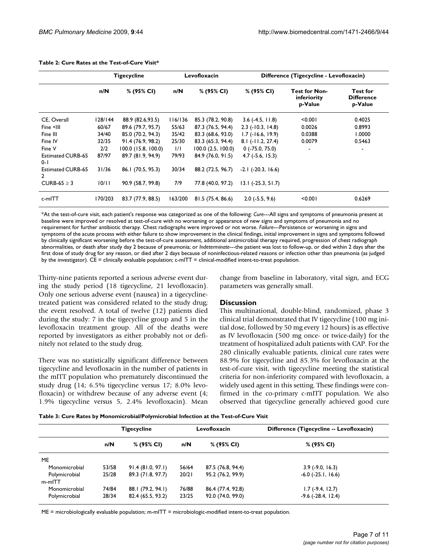|                                                                                                                                                                                                         | <b>Tigecycline</b> |                     | Levofloxacin |                    | Difference (Tigecycline - Levofloxacin) |                                                |                                                 |  |  |  |
|---------------------------------------------------------------------------------------------------------------------------------------------------------------------------------------------------------|--------------------|---------------------|--------------|--------------------|-----------------------------------------|------------------------------------------------|-------------------------------------------------|--|--|--|
|                                                                                                                                                                                                         | n/N                | % (95% CI)          | n/N          | % (95% CI)         | % (95% CI)                              | <b>Test for Non-</b><br>inferiority<br>p-Value | <b>Test for</b><br><b>Difference</b><br>p-Value |  |  |  |
| CE, Overall                                                                                                                                                                                             | 128/144            | 88.9 (82.6,93.5)    | 116/136      | 85.3 (78.2, 90.8)  | $3.6$ (-4.5, 11.8)                      | < 0.001                                        | 0.4025                                          |  |  |  |
| Fine <iii< td=""><td>60/67</td><td>89.6 (79.7, 95.7)</td><td>55/63</td><td>87.3 (76.5, 94.4)</td><td><math>2.3</math> (<math>-10.3</math>, <math>14.8</math>)</td><td>0.0026</td><td>0.8993</td></iii<> | 60/67              | 89.6 (79.7, 95.7)   | 55/63        | 87.3 (76.5, 94.4)  | $2.3$ ( $-10.3$ , $14.8$ )              | 0.0026                                         | 0.8993                                          |  |  |  |
| Fine III                                                                                                                                                                                                | 34/40              | 85.0 (70.2, 94.3)   | 35/42        | 83.3 (68.6, 93.0)  | $1.7$ ( $-16.6$ , $19.9$ )              | 0.0388                                         | 1.0000                                          |  |  |  |
| Fine IV                                                                                                                                                                                                 | 32/35              | 91.4 (76.9, 98.2)   | 25/30        | 83.3 (65.3, 94.4)  | $8.1$ ( $-11.2$ , 27.4)                 | 0.0079                                         | 0.5463                                          |  |  |  |
| Fine V                                                                                                                                                                                                  | 2/2                | 100.0 (15.8, 100.0) | 1/1          | 100.0 (2.5, 100.0) | $0$ (-75.0, 75.0)                       |                                                |                                                 |  |  |  |
| <b>Estimated CURB-65</b><br>$0 - 1$                                                                                                                                                                     | 87/97              | 89.7 (81.9, 94.9)   | 79/93        | 84.9 (76.0, 91.5)  | $4.7$ ( $-5.6$ , $15.3$ )               |                                                |                                                 |  |  |  |
| <b>Estimated CURB-65</b><br>$\mathbf{2}$                                                                                                                                                                | 31/36              | 86.1 (70.5, 95.3)   | 30/34        | 88.2 (72.5, 96.7)  | $-2.1$ ( $-20.3$ , $16.6$ )             |                                                |                                                 |  |  |  |
| CURB-65 $\geq$ 3                                                                                                                                                                                        | 10/11              | 90.9 (58.7, 99.8)   | 7/9          | 77.8 (40.0, 97.2)  | $13.1 (-25.3, 51.7)$                    |                                                |                                                 |  |  |  |
| $c$ -ml $TT$                                                                                                                                                                                            | 170/203            | 83.7 (77.9, 88.5)   | 163/200      | 81.5 (75.4, 86.6)  | $2.0$ ( $-5.5$ , $9.6$ )                | < 0.001                                        | 0.6269                                          |  |  |  |

#### **Table 2: Cure Rates at the Test-of-Cure Visit\***

\*At the test-of-cure visit, each patient's response was categorized as one of the following: *Cure*---All signs and symptoms of pneumonia present at baseline were improved or resolved at test-of-cure with no worsening or appearance of new signs and symptoms of pneumonia and no requirement for further antibiotic therapy. Chest radiographs were improved or not worse. *Failure*---Persistence or worsening in signs and symptoms of the acute process with either failure to show improvement in the clinical findings, initial improvement in signs and symptoms followed by clinically significant worsening before the test-of-cure assessment, additional antimicrobial therapy required, progression of chest radiograph abnormalities, or death after study day 2 because of pneumonia; or *Indeterminate*---the patient was lost to follow-up, or died within 2 days after the first dose of study drug for any reason, or died after 2 days because of noninfectious-related reasons or infection other than pneumonia (as judged by the investigator). CE = clinically evaluable population; c-mITT = clinical-modified intent-to-treat population.

Thirty-nine patients reported a serious adverse event during the study period (18 tigecycline, 21 levofloxacin). Only one serious adverse event (nausea) in a tigecyclinetreated patient was considered related to the study drug; the event resolved. A total of twelve (12) patients died during the study: 7 in the tigecycline group and 5 in the levofloxacin treatment group. All of the deaths were reported by investigators as either probably not or definitely not related to the study drug.

There was no statistically significant difference between tigecycline and levofloxacin in the number of patients in the mITT population who prematurely discontinued the study drug (14; 6.5% tigecycline versus 17; 8.0% levofloxacin) or withdrew because of any adverse event (4; 1.9% tigecycline versus 5, 2.4% levofloxacin). Mean change from baseline in laboratory, vital sign, and ECG parameters was generally small.

#### **Discussion**

This multinational, double-blind, randomized, phase 3 clinical trial demonstrated that IV tigecycline (100 mg initial dose, followed by 50 mg every 12 hours) is as effective as IV levofloxacin (500 mg once- or twice-daily) for the treatment of hospitalized adult patients with CAP. For the 280 clinically evaluable patients, clinical cure rates were 88.9% for tigecycline and 85.3% for levofloxacin at the test-of-cure visit, with tigecycline meeting the statistical criteria for non-inferiority compared with levofloxacin, a widely used agent in this setting. These findings were confirmed in the co-primary c-mITT population. We also observed that tigecycline generally achieved good cure

|               | <b>Tigecycline</b> |                   |                      | <b>Levofloxacin</b> | Difference (Tigecycline -- Levofloxacin) |  |  |
|---------------|--------------------|-------------------|----------------------|---------------------|------------------------------------------|--|--|
| n/N           |                    | % (95% CI)        | $% (95\% CI)$<br>n/N |                     | % (95% CI)                               |  |  |
| <b>ME</b>     |                    |                   |                      |                     |                                          |  |  |
| Monomicrobial | 53/58              | 91.4(81.0, 97.1)  | 56/64                | 87.5 (76.8, 94.4)   | $3.9$ (-9.0, 16.3)                       |  |  |
| Polymicrobial | 25/28              | 89.3 (71.8, 97.7) | 20/21                | 95.2 (76.2, 99.9)   | $-6.0$ ( $-25.1$ , 16.6)                 |  |  |
| $m$ -mITT     |                    |                   |                      |                     |                                          |  |  |
| Monomicrobial | 74/84              | 88.1 (79.2, 94.1) | 76/88                | 86.4 (77.4, 92.8)   | $1.7$ (-9.4, 12.7)                       |  |  |
| Polymicrobial | 28/34              | 82.4 (65.5, 93.2) | 23/25                | 92.0 (74.0, 99.0)   | $-9.6$ ( $-28.4$ , 12.4)                 |  |  |

ME = microbiologically evaluable population; m-mITT = microbiologic-modified intent-to-treat population.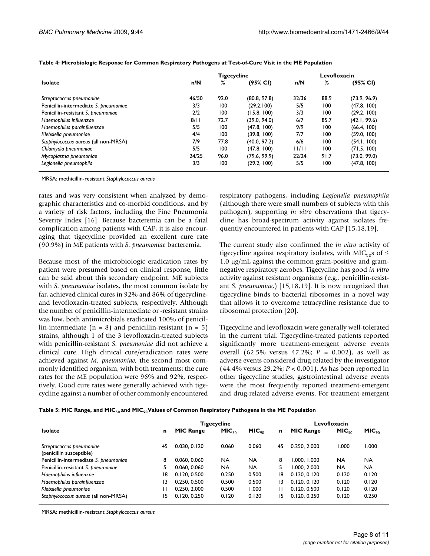|                                       |       | <b>Tigecycline</b> |              | Levofloxacin |      |              |  |
|---------------------------------------|-------|--------------------|--------------|--------------|------|--------------|--|
| <b>Isolate</b>                        | n/N   | %                  | (95% CI)     | n/N          | %    | (95% CI)     |  |
| Streptococcus pneumoniae              | 46/50 | 92.0               | (80.8, 97.8) | 32/36        | 88.9 | (73.9, 96.9) |  |
| Penicillin-intermediate S. pneumoniae | 3/3   | 100                | (29.2, 100)  | 5/5          | 100  | (47.8, 100)  |  |
| Penicillin-resistant S. pneumoniae    | 2/2   | 100                | (15.8, 100)  | 3/3          | 100  | (29.2, 100)  |  |
| Haemophilus influenzae                | 8/11  | 72.7               | (39.0, 94.0) | 6/7          | 85.7 | (42.1, 99.6) |  |
| Haemophilus parainfluenzae            | 5/5   | 100                | (47.8, 100)  | 9/9          | 100  | (66.4, 100)  |  |
| Klebsiella pneumoniae                 | 4/4   | 100                | (39.8, 100)  | 7/7          | 100  | (59.0, 100)  |  |
| Staphylococcus aureus (all non-MRSA)  | 7/9   | 77.8               | (40.0, 97.2) | 6/6          | 100  | (54.1, 100)  |  |
| Chlamydia pneumoniae                  | 5/5   | 100                | (47.8, 100)  | 11/11        | 100  | (71.5, 100)  |  |
| Mycoplasma pneumoniae                 | 24/25 | 96.0               | (79.6, 99.9) | 22/24        | 91.7 | (73.0, 99.0) |  |
| Legionella pneumophila                | 3/3   | 100                | (29.2, 100)  | 5/5          | 100  | (47.8, 100)  |  |

**Table 4: Microbiologic Response for Common Respiratory Pathogens at Test-of-Cure Visit in the ME Population**

MRSA: methicillin-resistant *Staphylococcus aureus*

rates and was very consistent when analyzed by demographic characteristics and co-morbid conditions, and by a variety of risk factors, including the Fine Pneumonia Severity Index [16]. Because bacteremia can be a fatal complication among patients with CAP, it is also encouraging that tigecycline provided an excellent cure rate (90.9%) in ME patients with *S. pneumoniae* bacteremia.

Because most of the microbiologic eradication rates by patient were presumed based on clinical response, little can be said about this secondary endpoint. ME subjects with *S. pneumoniae* isolates, the most common isolate by far, achieved clinical cures in 92% and 86% of tigecyclineand levofloxacin-treated subjects, respectively. Although the number of penicillin-intermediate or -resistant strains was low, both antimicrobials eradicated 100% of penicillin-intermediate  $(n = 8)$  and penicillin-resistant  $(n = 5)$ strains, although 1 of the 3 levofloxacin-treated subjects with penicillin-resistant *S. pneumoniae* did not achieve a clinical cure. High clinical cure/eradication rates were achieved against *M. pneumoniae*, the second most commonly identified organism, with both treatments; the cure rates for the ME population were 96% and 92%, respectively. Good cure rates were generally achieved with tigecycline against a number of other commonly encountered respiratory pathogens, including *Legionella pneumophila* (although there were small numbers of subjects with this pathogen), supporting *in vitro* observations that tigecycline has broad-spectrum activity against isolates frequently encountered in patients with CAP [15,18,19].

The current study also confirmed the *in vitro* activity of tigecycline against respiratory isolates, with MIC<sub>90</sub>s of  $\leq$ 1.0 μg/mL against the common gram-positive and gramnegative respiratory aerobes. Tigecycline has good *in vitro* activity against resistant organisms (e.g., penicillin-resistant *S. pneumoniae*,) [15,18,19]. It is now recognized that tigecycline binds to bacterial ribosomes in a novel way that allows it to overcome tetracycline resistance due to ribosomal protection [20].

Tigecycline and levofloxacin were generally well-tolerated in the current trial. Tigecycline-treated patients reported significantly more treatment-emergent adverse events overall (62.5% versus 47.2%; *P* = 0.002), as well as adverse events considered drug-related by the investigator (44.4% versus 29.2%; *P* < 0.001). As has been reported in other tigecycline studies, gastrointestinal adverse events were the most frequently reported treatment-emergent and drug-related adverse events. For treatment-emergent

|  | Table 5: MIC Range, and MIC <sub>50</sub> and MIC <sub>90</sub> Values of Common Respiratory Pathogens in the ME Population |
|--|-----------------------------------------------------------------------------------------------------------------------------|
|--|-----------------------------------------------------------------------------------------------------------------------------|

|                                                      | Tigecycline |                  |                   |                   |    | Levofloxacin     |                   |                   |  |  |
|------------------------------------------------------|-------------|------------------|-------------------|-------------------|----|------------------|-------------------|-------------------|--|--|
| <b>Isolate</b>                                       | n           | <b>MIC Range</b> | MIC <sub>50</sub> | MIC <sub>on</sub> | n  | <b>MIC Range</b> | MIC <sub>50</sub> | MIC <sub>90</sub> |  |  |
| Streptococcus pneumoniae<br>(penicillin susceptible) | 45          | 0.030, 0.120     | 0.060             | 0.060             | 45 | 0.250, 2.000     | 1.000             | 000. ا            |  |  |
| Penicillin-intermediate S. pneumoniae                | 8           | 0.060, 0.060     | <b>NA</b>         | <b>NA</b>         | 8  | 1.000, 1.000     | <b>NA</b>         | <b>NA</b>         |  |  |
| Penicillin-resistant S. pneumoniae                   | 5           | 0.060, 0.060     | <b>NA</b>         | <b>NA</b>         | 5  | 1.000, 2.000     | NA                | <b>NA</b>         |  |  |
| Haemophilus influenzae                               | 18          | 0.120, 0.500     | 0.250             | 0.500             | 18 | 0.120, 0.120     | 0.120             | 0.120             |  |  |
| Haemophilus parainfluenzae                           | 13          | 0.250, 0.500     | 0.500             | 0.500             | 13 | 0.120, 0.120     | 0.120             | 0.120             |  |  |
| Klebsiella pneumoniae                                | н           | 0.250, 2.000     | 0.500             | 1.000             | П  | 0.120.0.500      | 0.120             | 0.120             |  |  |
| Staphylococcus aureus (all non-MRSA)                 | 15          | 0.120, 0.250     | 0.120             | 0.120             | 15 | 0.120.0.250      | 0.120             | 0.250             |  |  |

MRSA: methicillin-resistant *Staphylococcus aureus*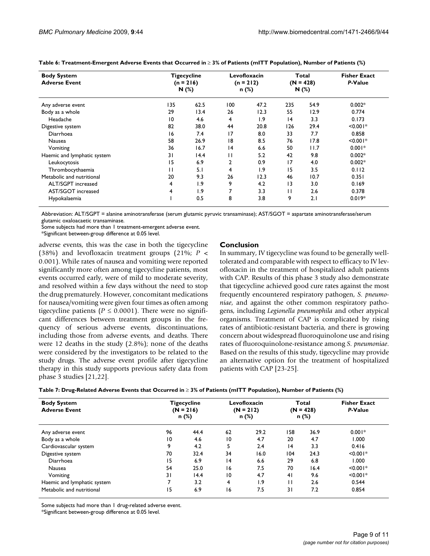| <b>Body System</b><br><b>Adverse Event</b> | <b>Tigecycline</b><br>$(n = 216)$<br>N(%) |      | Levofloxacin<br>$(n = 212)$<br>n (%) |      | <b>Total</b><br>$(N = 428)$<br>N(%) |      | <b>Fisher Exact</b><br>P-Value |  |
|--------------------------------------------|-------------------------------------------|------|--------------------------------------|------|-------------------------------------|------|--------------------------------|--|
| Any adverse event                          | 135                                       | 62.5 | 100                                  | 47.2 | 235                                 | 54.9 | $0.002*$                       |  |
| Body as a whole                            | 29                                        | 13.4 | 26                                   | 12.3 | 55                                  | 12.9 | 0.774                          |  |
| Headache                                   | $\overline{10}$                           | 4.6  | 4                                    | 1.9  | 4                                   | 3.3  | 0.173                          |  |
| Digestive system                           | 82                                        | 38.0 | 44                                   | 20.8 | 126                                 | 29.4 | $< 0.001*$                     |  |
| Diarrhoea                                  | 16                                        | 7.4  | $\overline{17}$                      | 8.0  | 33                                  | 7.7  | 0.858                          |  |
| Nausea                                     | 58                                        | 26.9 | 18                                   | 8.5  | 76                                  | 17.8 | $< 0.001*$                     |  |
| Vomiting                                   | 36                                        | 16.7 | 4                                    | 6.6  | 50                                  | 11.7 | $0.001*$                       |  |
| Haemic and lymphatic system                | 31                                        | 14.4 | $\mathbf{H}$                         | 5.2  | 42                                  | 9.8  | $0.002*$                       |  |
| Leukocytosis                               | 15                                        | 6.9  | 2                                    | 0.9  | 17                                  | 4.0  | $0.002*$                       |  |
| Thrombocythaemia                           | $\mathbf{1}$                              | 5.1  | 4                                    | 1.9  | 15                                  | 3.5  | 0.112                          |  |
| Metabolic and nutritional                  | 20                                        | 9.3  | 26                                   | 12.3 | 46                                  | 10.7 | 0.351                          |  |
| ALT/SGPT increased                         | 4                                         | 1.9  | 9                                    | 4.2  | 13                                  | 3.0  | 0.169                          |  |
| AST/SGOT increased                         | 4                                         | 1.9  | 7                                    | 3.3  | П                                   | 2.6  | 0.378                          |  |
| Hypokalaemia                               |                                           | 0.5  | 8                                    | 3.8  | 9                                   | 2.1  | $0.019*$                       |  |

**Table 6: Treatment-Emergent Adverse Events that Occurred in** ≥ **3% of Patients (mITT Population), Number of Patients (%)**

Abbreviation: ALT/SGPT = alanine aminotransferase (serum glutamic pyruvic transaminase); AST/SGOT = aspartate aminotransferase/serum glutamic oxaloacaetic transaminase.

Some subjects had more than 1 treatment-emergent adverse event.

\*Significant between-group difference at 0.05 level.

adverse events, this was the case in both the tigecycline (38%) and levofloxacin treatment groups (21%; *P* < 0.001). While rates of nausea and vomiting were reported significantly more often among tigecycline patients, most events occurred early, were of mild to moderate severity, and resolved within a few days without the need to stop the drug prematurely. However, concomitant medications for nausea/vomiting were given four times as often among tigecycline patients ( $P \le 0.0001$ ). There were no significant differences between treatment groups in the frequency of serious adverse events, discontinuations, including those from adverse events, and deaths. There were 12 deaths in the study (2.8%); none of the deaths were considered by the investigators to be related to the study drugs. The adverse event profile after tigecycline therapy in this study supports previous safety data from phase 3 studies [21,22].

#### **Conclusion**

In summary, IV tigecycline was found to be generally welltolerated and comparable with respect to efficacy to IV levofloxacin in the treatment of hospitalized adult patients with CAP. Results of this phase 3 study also demonstrate that tigecycline achieved good cure rates against the most frequently encountered respiratory pathogen, *S. pneumoniae*, and against the other common respiratory pathogens, including *Legionella pneumophila* and other atypical organisms. Treatment of CAP is complicated by rising rates of antibiotic-resistant bacteria, and there is growing concern about widespread fluoroquinolone use and rising rates of fluoroquinolone-resistance among *S. pneumoniae*. Based on the results of this study, tigecycline may provide an alternative option for the treatment of hospitalized patients with CAP [23-25].

| Table 7: Drug-Related Adverse Events that Occurred in $\geq$ 3% of Patients (mITT Population), Number of Patients (%) |  |
|-----------------------------------------------------------------------------------------------------------------------|--|
|                                                                                                                       |  |

| <b>Body System</b><br><b>Adverse Event</b> | <b>Tigecycline</b><br>$(N = 216)$<br>n (%) |      | Levofloxacin<br>$(N = 212)$<br>n (%) |      | <b>Total</b><br>$(N = 428)$<br>n (%) |      | <b>Fisher Exact</b><br>P-Value |  |
|--------------------------------------------|--------------------------------------------|------|--------------------------------------|------|--------------------------------------|------|--------------------------------|--|
| Any adverse event                          | 96                                         | 44.4 | 62                                   | 29.2 | 158                                  | 36.9 | $0.001*$                       |  |
| Body as a whole                            | 10                                         | 4.6  | 10                                   | 4.7  | 20                                   | 4.7  | 1.000                          |  |
| Cardiovascular system                      | 9                                          | 4.2  | 5                                    | 2.4  | 4                                    | 3.3  | 0.416                          |  |
| Digestive system                           | 70                                         | 32.4 | 34                                   | 16.0 | 104                                  | 24.3 | $< 0.001*$                     |  |
| Diarrhoea                                  | 15                                         | 6.9  | 4                                    | 6.6  | 29                                   | 6.8  | 1.000                          |  |
| Nausea                                     | 54                                         | 25.0 | 16                                   | 7.5  | 70                                   | 16.4 | $< 0.001*$                     |  |
| Vomiting                                   | 31                                         | 14.4 | 10                                   | 4.7  | 41                                   | 9.6  | $< 0.001*$                     |  |
| Haemic and lymphatic system                |                                            | 3.2  | 4                                    | 1.9  | п                                    | 2.6  | 0.544                          |  |
| Metabolic and nutritional                  | 15                                         | 6.9  | 16                                   | 7.5  | 31                                   | 7.2  | 0.854                          |  |

Some subjects had more than 1 drug-related adverse event.

\*Significant between-group difference at 0.05 level.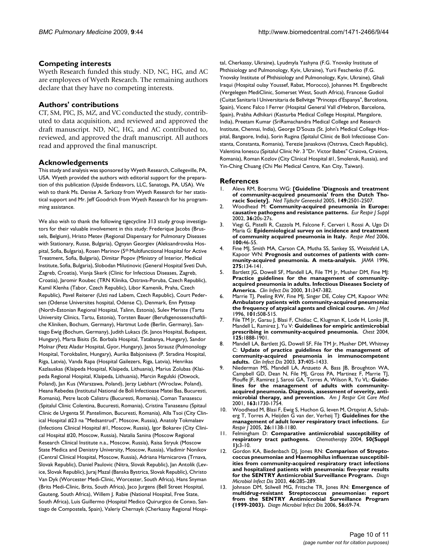#### **Competing interests**

Wyeth Research funded this study. ND, NC, HG, and AC are employees of Wyeth Research. The remaining authors declare that they have no competing interests.

#### **Authors' contributions**

CT, SM, PIC, JS, MZ, and VC conducted the study, contributed to data acquisition, and reviewed and approved the draft manuscript. ND, NC, HG, and AC contributed to, reviewed, and approved the draft manuscript. All authors read and approved the final manuscript.

#### **Acknowledgements**

This study and analysis was sponsored by Wyeth Research, Collegeville, PA, USA. Wyeth provided the authors with editorial support for the preparation of this publication (Upside Endeavors, LLC, Sanatoga, PA, USA). We wish to thank Ms. Denise A. Sarkozy from Wyeth Research for her statistical support and Mr. Jeff Goodrich from Wyeth Research for his programming assistance.

We also wish to thank the following tigecycline 313 study group investigators for their valuable involvement in this study: Frederique Jacobs (Brussels, Belgium), Hristo Metev (Regional Dispensary for Pulmonary Diseases with Stationary, Russe, Bulgaria), Ognyan Georgiev (Aleksandrovska Hospital, Sofia, Bulgaria), Rosen Marinov (5th Multifunctional Hospital for Active Treatment, Sofia, Bulgaria), Dimitar Popov (Ministry of Interior, Medical Institute, Sofia, Bulgaria), Slobodan Milutinovic (General Hospital Sveti Duh, Zagreb, Croatia), Visnja Skerk (Clinic for Infectious Diseases, Zagreb, Croatia), Jaromir Roubec (TRN Klinika, Ostrava-Poruba, Czech Republic), Kamil Klenha (Tabor, Czech Republic), Libor Kamenik, Praha, Czech Republic), Pavel Reiterer (Usti nad Labem, Czech Republic), Court Pedersen (Odense Universites hospital, Odense C), Denmark, Enn Pyttsep (North-Estonian Regional Hospital, Talinn, Estonia), Sulev Meriste (Tartu University Clinics, Tartu, Estonia), Torsten Bauer (Berufsgenossenschaftliche Kliniken, Bochum, Germany), Hartmut Lode (Berlin, Germany), Santiago Ewig (Bochum, Germany), Judith Lukacs (St. Janos Hospital, Budapest, Hungary), Marta Bisits (St. Borbala Hospital, Tatabanya, Hungary), Sandor Molnar (Petz Aladar Hospital, Gyor, Hungary), Janos Strausz (Pulmonology Hospital, Torokbalint, Hungary), Aurika Babjoniseva (P. Stradina Hospital, Riga, Latvia), Vanda Rapa (Hospital Gailezers, Riga, Latvia), Henrikas Kazlauskas (Klaipeda Hospital, Klaipeda, Lithuania), Marius Zolubas (Klaipeda Regional Hospital, Klaipeda, Lithuania), Marcin Regulski (Otwock, Poland), Jan Kus (Warszawa, Poland), Jerzy Liebhart (Wroclaw, Poland), Heana Rebedea (Institutul National de Boli Infectioase Matei Bas, Bucuresti, Romania), Petre Iacob Calistru (Bucuresti, Romania), Coman Tanasescu (Spitalul Clinic Colentina, Bucuresti, Romania), Cristina Tanaseanu (Spitaul Clinic de Urgenta Sf. Pantelimon, Bucuresti, Romania), Alla Tsoi (City Clinical Hospital #23 na "Medsantrud", Moscow, Russia), Anatoly Tokmalaev (Infections Clinical Hospital #1, Moscow, Russia), Igor Bokarev (City Clinical Hospital #20, Moscow, Russia), Natalia Sanina (Moscow Regional Research Clinical Institute n.a., Moscow, Russia), Raisa Stryuk (Moscow State Medica and Denistry University, Moscow, Russia), Vladimir Nonikov (Central Clinical Hospital, Moscow, Russia), Adriana Harnicarova (Trnava, Slovak Republic), Daniel Paulovic (Nitra, Slovak Republic), Jan Antolik (Levice, Slovak Republic), Juraj Mazal (Banska Bystrica, Slovak Republic), Christo Van Dyk (Worcester Medi-Clinic, Worcester, South Africa), Hans Snyman (Brits Medi-Clinic, Brits, South Africa), Jaco Jurgens (Bell Street Hospital, Gauteng, South Africa), Willem J. Rabie (National Hospital, Free State, South Africa), Luis Guillermo (Hospital Medico Quirurgico de Conxo, Santiago de Compostela, Spain), Valeriy Chernayk (Cherkassy Regional Hospital, Cherkassy, Ukraine), Lyudmyla Yashyna (F.G. Ynovsky Institute of Phthisiology and Pulmonology, Kyiv, Ukraine), Yurii Feschenko (F.G. Ynovsky Institute of Phthisiology and Pulmonology, Kyiv, Ukraine), Ghali Iraqui (Hospital oulay Youssef, Rabat, Morocco), Johannes M. Engelbrecht (Vergelegen MediClinic, Somerset West, South Africa), Francese Gudiol (Cuitat Sanitaria I Universitaria de Bellvitge "Princeps d'Espanya", Barcelona, Spain), Vicenc Falco I Ferrer (Hospital General Vall d'Hebron, Barcelona, Spain), Prabha Adhikari (Kasturba Medical College Hospital, Mangalore, India), Preetam Kumar (SriRamachandra Medical College and Research Institute, Chennai, India), George D'Souza (St. John's Medical College Hospital, Bangaore, India), Sorin Rugina (Spitalul Clinic de Boli Infectioase Constanta, Constanta, Romania), Terezie Janaskova (Ostrava, Czech Republic), Valentina Ionescu (Spitalul Clinic Nr. 3 "Dr. Victor Babes" Craiova, Craiova, Romania), Roman Kozlov (City Clinical Hospital #1, Smolensk, Russia), and Yin-Ching Chuang (Chi Mei Medical Centre, Kan City, Taiwan).

#### **References**

- 1. Aleva RM, Boersma WG: **[\[Guideline 'Diagnosis and treatment](http://www.ncbi.nlm.nih.gov/entrez/query.fcgi?cmd=Retrieve&db=PubMed&dopt=Abstract&list_uids=16304887) [of community-acquired pneumonia' from the Dutch Tho](http://www.ncbi.nlm.nih.gov/entrez/query.fcgi?cmd=Retrieve&db=PubMed&dopt=Abstract&list_uids=16304887)[racic Society\].](http://www.ncbi.nlm.nih.gov/entrez/query.fcgi?cmd=Retrieve&db=PubMed&dopt=Abstract&list_uids=16304887)** *Ned Tijdschr Geneeskd* 2005, **149:**2501-2507.
- 2. Woodhead M: **[Community-acquired pneumonia in Europe:](http://www.ncbi.nlm.nih.gov/entrez/query.fcgi?cmd=Retrieve&db=PubMed&dopt=Abstract&list_uids=12168744) [causative pathogens and resistance patterns.](http://www.ncbi.nlm.nih.gov/entrez/query.fcgi?cmd=Retrieve&db=PubMed&dopt=Abstract&list_uids=12168744)** *Eur Respir J Suppl* 2002, **36:**20s-27s.
- 3. Viegi G, Pistelli R, Cazzola M, Falcone F, Cerveri I, Rossi A, Ugo Di Maria G: **[Epidemiological survey on incidence and treatment](http://www.ncbi.nlm.nih.gov/entrez/query.fcgi?cmd=Retrieve&db=PubMed&dopt=Abstract&list_uids=16046113) [of community acquired pneumonia in Italy.](http://www.ncbi.nlm.nih.gov/entrez/query.fcgi?cmd=Retrieve&db=PubMed&dopt=Abstract&list_uids=16046113)** *Respir Med* 2006, **100:**46-55.
- 4. Fine MJ, Smith MA, Carson CA, Mutha SS, Sankey SS, Weissfeld LA, Kapoor WN: **[Prognosis and outcomes of patients with com](http://www.ncbi.nlm.nih.gov/entrez/query.fcgi?cmd=Retrieve&db=PubMed&dopt=Abstract&list_uids=8531309)[munity-acquired pneumonia. A meta-analysis.](http://www.ncbi.nlm.nih.gov/entrez/query.fcgi?cmd=Retrieve&db=PubMed&dopt=Abstract&list_uids=8531309)** *JAMA* 1996, **275:**134-141.
- 5. Bartlett JG, Dowell SF, Mandell LA, File TM Jr, Musher DM, Fine MJ: **[Practice guidelines for the management of community](http://www.ncbi.nlm.nih.gov/entrez/query.fcgi?cmd=Retrieve&db=PubMed&dopt=Abstract&list_uids=10987697)acquired pneumonia in adults. Infectious Diseases Society of [America.](http://www.ncbi.nlm.nih.gov/entrez/query.fcgi?cmd=Retrieve&db=PubMed&dopt=Abstract&list_uids=10987697)** *Clin Infect Dis* 2000, **31:**347-382.
- 6. Marrie TJ, Peeling RW, Fine MJ, Singer DE, Coley CM, Kapoor WN: **[Ambulatory patients with community-acquired pneumonia:](http://www.ncbi.nlm.nih.gov/entrez/query.fcgi?cmd=Retrieve&db=PubMed&dopt=Abstract&list_uids=8948274) [the frequency of atypical agents and clinical course.](http://www.ncbi.nlm.nih.gov/entrez/query.fcgi?cmd=Retrieve&db=PubMed&dopt=Abstract&list_uids=8948274)** *Am J Med* 1996, **101:**508-515.
- File TM Jr, Garau J, Blasi F, Chidiac C, Klugman K, Lode H, Lonks JR, Mandell L, Ramirez J, Yu V: **[Guidelines for empiric antimicrobial](http://www.ncbi.nlm.nih.gov/entrez/query.fcgi?cmd=Retrieve&db=PubMed&dopt=Abstract&list_uids=15136404) [prescribing in community-acquired pneumonia.](http://www.ncbi.nlm.nih.gov/entrez/query.fcgi?cmd=Retrieve&db=PubMed&dopt=Abstract&list_uids=15136404)** *Chest* 2004, **125:**1888-1901.
- Mandell LA, Bartlett JG, Dowell SF, File TM Jr, Musher DM, Whitney C: **Update of practice guidelines for the management of community-acquired pneumonia in immunocompetent adults.** *Clin Infect Dis* 2003, **37:**405-1433.
- 9. Niederman MS, Mandell LA, Anzueto A, Bass JB, Broughton WA, Campbell GD, Dean N, File MJ, Gross PA, Martinez F, Marrie TJ, Plouffe JF, Ramirez J, Sarosi GA, Torres A, Wilson R, Yu VL: **[Guide](http://www.ncbi.nlm.nih.gov/entrez/query.fcgi?cmd=Retrieve&db=PubMed&dopt=Abstract&list_uids=11401897)[lines for the management of adults with community](http://www.ncbi.nlm.nih.gov/entrez/query.fcgi?cmd=Retrieve&db=PubMed&dopt=Abstract&list_uids=11401897)acquired pneumonia. Diagnosis, assessment of severity, anti[microbial therapy, and prevention.](http://www.ncbi.nlm.nih.gov/entrez/query.fcgi?cmd=Retrieve&db=PubMed&dopt=Abstract&list_uids=11401897)** *Am J Respir Crit Care Med* 2001, **163:**1730-1754.
- 10. Woodhead M, Blasi F, Ewig S, Huchon G, Ieven M, Ortqvist A, Schaberg T, Torres A, Heijden G van der, Verheij TJ: **[Guidelines for the](http://www.ncbi.nlm.nih.gov/entrez/query.fcgi?cmd=Retrieve&db=PubMed&dopt=Abstract&list_uids=16319346) [management of adult lower respiratory tract infections.](http://www.ncbi.nlm.nih.gov/entrez/query.fcgi?cmd=Retrieve&db=PubMed&dopt=Abstract&list_uids=16319346)** *Eur Respir J* 2005, **26:**1138-1180.
- 11. Felmingham D: **[Comparative antimicrobial susceptibility of](http://www.ncbi.nlm.nih.gov/entrez/query.fcgi?cmd=Retrieve&db=PubMed&dopt=Abstract&list_uids=15319548) [respiratory tract pathogens.](http://www.ncbi.nlm.nih.gov/entrez/query.fcgi?cmd=Retrieve&db=PubMed&dopt=Abstract&list_uids=15319548)** *Chemotherapy* 2004, **50(Suppl 1):**3-10.
- 12. Gordon KA, Biedenbach DJ, Jones RN: **[Comparison of Strepto](http://www.ncbi.nlm.nih.gov/entrez/query.fcgi?cmd=Retrieve&db=PubMed&dopt=Abstract&list_uids=12944021)[coccus pneumoniae and Haemophilus influenzae susceptibil](http://www.ncbi.nlm.nih.gov/entrez/query.fcgi?cmd=Retrieve&db=PubMed&dopt=Abstract&list_uids=12944021)ities from community-acquired respiratory tract infections and hospitalized patients with pneumonia: five-year results [for the SENTRY Antimicrobial Surveillance Program.](http://www.ncbi.nlm.nih.gov/entrez/query.fcgi?cmd=Retrieve&db=PubMed&dopt=Abstract&list_uids=12944021)** *Diagn Microbiol Infect Dis* 2003, **46:**285-289.
- 13. Johnson DM, Stilwell MG, Fritsche TR, Jones RN: **[Emergence of](http://www.ncbi.nlm.nih.gov/entrez/query.fcgi?cmd=Retrieve&db=PubMed&dopt=Abstract&list_uids=16546341) [multidrug-resistant Streptococcus pneumoniae: report](http://www.ncbi.nlm.nih.gov/entrez/query.fcgi?cmd=Retrieve&db=PubMed&dopt=Abstract&list_uids=16546341) from the SENTRY Antimicrobial Surveillance Program [\(1999-2003\).](http://www.ncbi.nlm.nih.gov/entrez/query.fcgi?cmd=Retrieve&db=PubMed&dopt=Abstract&list_uids=16546341)** *Diagn Microbiol Infect Dis* 2006, **56:**69-74.